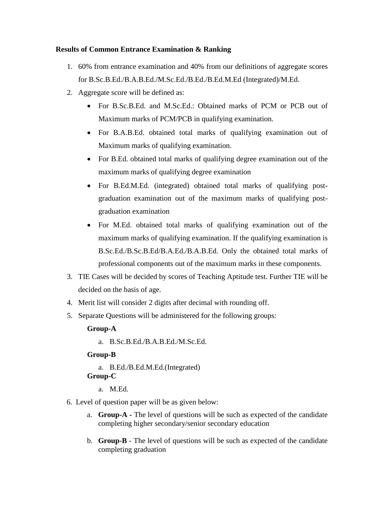## **Results of Common Entrance Examination & Ranking**

- 1. 60% from entrance examination and 40% from our definitions of aggregate scores for B.Sc.B.Ed./B.A.B.Ed./M.Sc.Ed./B.Ed./B.Ed.M.Ed (Integrated)/M.Ed.
- 2. Aggregate score will be defined as:
	- For B.Sc.B.Ed. and M.Sc.Ed.: Obtained marks of PCM or PCB out of Maximum marks of PCM/PCB in qualifying examination.
	- For B.A.B.Ed. obtained total marks of qualifying examination out of Maximum marks of qualifying examination.
	- For B.Ed. obtained total marks of qualifying degree examination out of the maximum marks of qualifying degree examination
	- For B.Ed.M.Ed. (integrated) obtained total marks of qualifying postgraduation examination out of the maximum marks of qualifying postgraduation examination
	- For M.Ed. obtained total marks of qualifying examination out of the maximum marks of qualifying examination. If the qualifying examination is B.Sc.Ed./B.Sc.B.Ed/B.A.Ed./B.A.B.Ed. Only the obtained total marks of professional components out of the maximum marks in these components.
- 3. TIE Cases will be decided by scores of Teaching Aptitude test. Further TIE will be decided on the basis of age.
- 4. Merit list will consider 2 digits after decimal with rounding off.
- 5. Separate Questions will be administered for the following groups:

## **Group-A**

a. B.Sc.B.Ed./B.A.B.Ed./M.Sc.Ed.

## **Group-B**

- a. B.Ed./B.Ed.M.Ed.(Integrated) **Group-C** 
	- a. M.Ed.
- 6. Level of question paper will be as given below:
	- a. **Group-A -** The level of questions will be such as expected of the candidate completing higher secondary/senior secondary education
	- b. **Group-B**  The level of questions will be such as expected of the candidate completing graduation